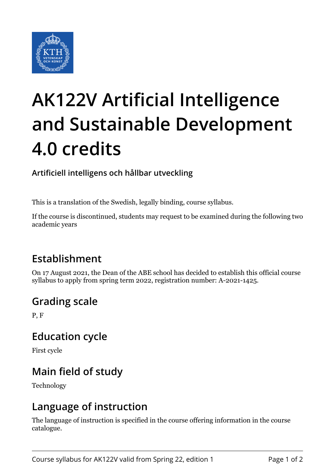

# **AK122V Artificial Intelligence and Sustainable Development 4.0 credits**

#### **Artificiell intelligens och hållbar utveckling**

This is a translation of the Swedish, legally binding, course syllabus.

If the course is discontinued, students may request to be examined during the following two academic years

## **Establishment**

On 17 August 2021, the Dean of the ABE school has decided to establish this official course syllabus to apply from spring term 2022, registration number: A-2021-1425.

### **Grading scale**

P, F

### **Education cycle**

First cycle

## **Main field of study**

Technology

### **Language of instruction**

The language of instruction is specified in the course offering information in the course catalogue.